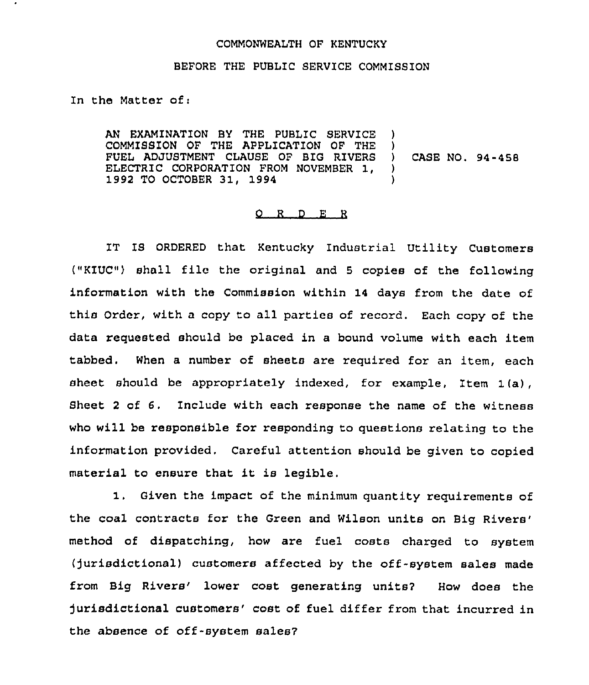## COMMONWEALTH OF KENTUCKY

## BEFORE THE PUBLIC SERVICE COMMISSION

In the Matter of;

AN EXAMINATION BY THE PUBLIC SERVICE COMMISSION OF THE APPLICATION OF THE FUEL ADJUSTMENT CLAUSE OF BIG RIVERS ELECTRIC CORPORATION FROM NOVEMBER 1, 1992 TO OCTOBER 31, 1994  $\lambda$ ) ) CASE NO, 94-458  $\lambda$  $\lambda$ 

## O R D E R

IT IS ORDERED that Kentucky Industrial Utility Customers ("KIUC") shall file the original and <sup>5</sup> copies of the following information with the Commission within 14 days from the date of this Order, with a copy to all parties of record. Each copy of the data requested should be placed in a bound volume with each item tabbed. When a number of sheets are required for an item, each sheet should be appropriately indexed, for example, Item 1(a), Sheet <sup>2</sup> of 6. Include with each response the name of the witness who will be responsible for responding to questions relating to the information provided. Careful attention should be given to copied material to ensure that it is legible.

1. Given the impact of the minimum quantity requirements of the coal contracts for the Green and Wilson units on Big method of dispatching, how are fuel costs charged to system (jurisdictional) customers affected by the off-system sales made from Big Rivers' lower cost generating units? How does the jurisdictional customers'ost of fuel differ from that incurred in the absence of off-system sales7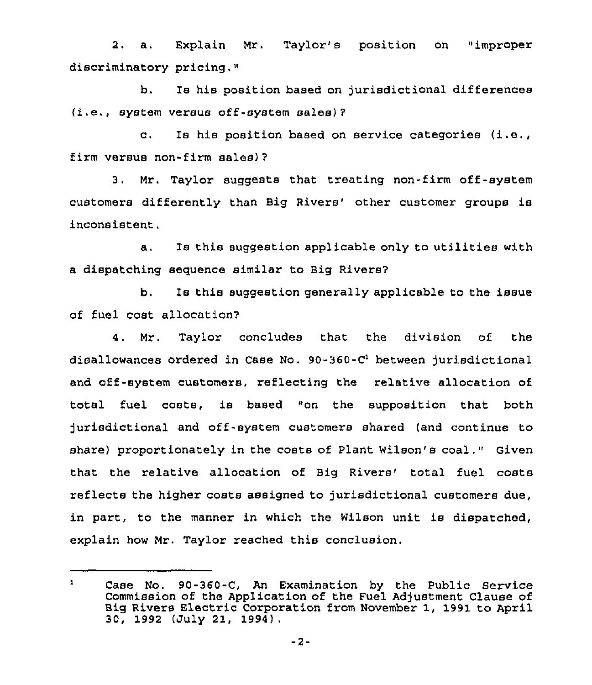2. a. Explain Mr. Taylor's position on "improper discriminatory pricing."

b. Is his position based on jurisdictional differences (i.e., system versus off-system sales) ?

c. Is his position based on service categories (i.e., firm versus non-firm sales)?

3. Mr, Taylor suggests that treating non-firm off-system customers differently than Big Rivers' other customer groups is inconsistent.

a. Is this suggestion applicable only to utilities with a dispatching sequence similar to Big Rivers?

b. Is this suggestion generally applicable to the issue of fuel cost allocation?

4. Mr. Taylor concludes that the division of the disallowances ordered in Case No.  $90-360-C<sup>1</sup>$  between jurisdictional and off-system customers, reflecting the relative allocation of total fuel costa, is based "on the supposition that both )urisdlctional and off-system customers shared (and continue to share) proportionately in the costs of Plant Wilson's coal." Given that the relative allocation of Big Rivers' total fuel costs reflects the higher costs assigned to jurisdictional customers due, in part, to the manner in which the Wilson unit is dispatched, explain how Mr. Taylor reached this conclusion.

 $\mathbf{1}$ Case No. 90-360-C, An Examination by the Public Service Commission of the Application of the Fuel Adjustment Clause of Big Rivers Electric Corporation from November 1, 1991 to April 30, 1992 (July 21, 1994),